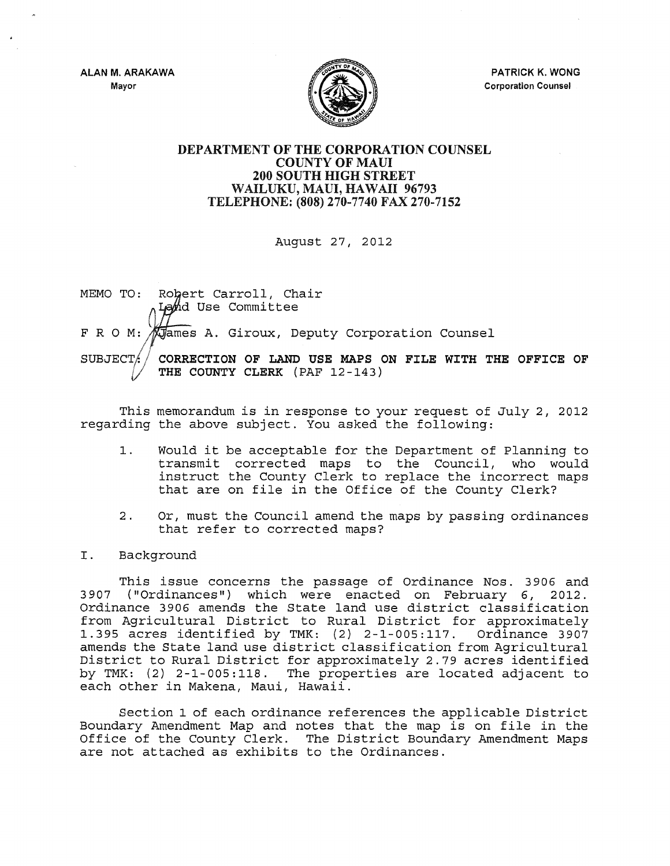ALAN M. ARAKAWA Mayor



PATRICK K. WONG Corporation Counsel

## DEPARTMENT OF THE CORPORATION COUNSEL COUNTY OF MAUl 200 SOUTH HIGH STREET WAILUKU, MAUl, HAWAII 96793 TELEPHONE: (808) 270-7740 FAX 270-7152

August 27, 2012

MEMO TO: Robert Carroll, Chair Lahd Use Committee Giroux, Deputy Corporation Counsel FROM: CORRECTION OF LAND USE MAPS ON FILE WITH THE OFFICE OF SUBJECT/ THE COUNTY CLERK (PAF 12-143)

This memorandum is in response to your request of July 2, 2012 regarding the above subject. You asked the following:

- 1. Would it be acceptable for the Department of Planning to transmit corrected maps to the Council, who would instruct the County Clerk to replace the incorrect maps that are on file in the Office of the County Clerk?
- 2. Or, must the Council amend the maps by passing ordinances that refer to corrected maps?

## I. Background

This issue concerns the passage of Ordinance Nos. 3906 and 3907 ("Ordinances") which were enacted on February 6, 2012. Ordinance 3906 amends the State land use district classification from Agricultural District to Rural District for approximately 1.395 acres identified by TMK: (2) 2-1-005:117. Ordinance 3907 amends the State land use district classification from Agricultural District to Rural District for approximately 2.79 acres identified by TMK: (2) 2-1-005:118. The properties are located adjacent to each other in Makena, Maui, Hawaii.

Section 1 of each ordinance references the applicable District Boundary Amendment Map and notes that the map is on file in the Office of the County Clerk. The District Boundary Amendment Maps are not attached as exhibits to the Ordinances.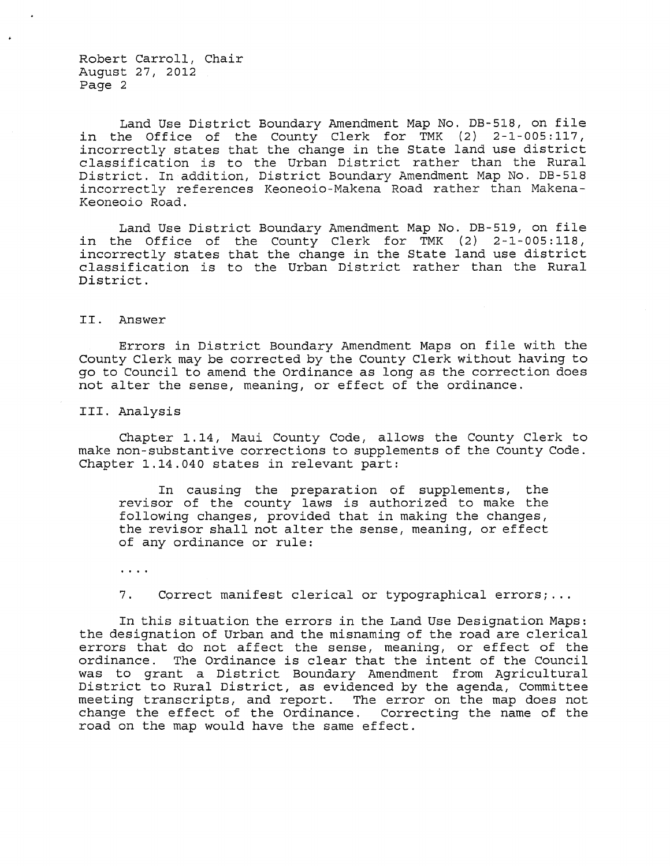Robert Carroll, Chair August 27, 2012 Page 2

Land Use District Boundary Amendment Map No. DB-518, on file in the Office of the County Clerk for TMK (2) 2-1-005:117, incorrectly states that the change in the State land use district classification is to the Urban District rather than the Rural District. In addition, District Boundary Amendment Map No. DB-518 incorrectly references Keoneoio-Makena Road rather than Makena-Keoneoio Road.

Land Use District Boundary Amendment Map No. DB-519, on file in the Office of the County Clerk for TMK (2) 2-1-005:118, incorrectly states that the change in the State land use district classification is to the Urban District rather than the Rural District.

II. Answer

Errors in District Boundary Amendment Maps on file with the County Clerk may be corrected by the County Clerk without having to go to Council to amend the Ordinance as long as the correction does not alter the sense, meaning, or effect of the ordinance.

III. Analysis

Chapter 1.14, Maui County Code, allows the County Clerk to make non-substantive corrections to supplements of the County Code. Chapter 1.14.040 states in relevant part:

In causing the preparation of supplements, the revisor of the county laws is authorized to make the following changes, provided that in making the changes, the revisor shall not alter the sense, meaning, or effect of any ordinance or rule:

 $\cdots$ 

7. Correct manifest clerical or typographical errors; ...

In this situation the errors in the Land Use Designation Maps: the designation of Urban and the misnaming of the road are clerical errors that do not affect the sense, meaning, or effect of the ordinance. The Ordinance is clear that the intent of the Council was to grant a District Boundary Amendment from Agricultural District to Rural District, as evidenced by the agenda, Committee meeting transcripts, and report. The error on the map does not change the effect of the Ordinance. Correcting the name of the road on the map would have the same effect.